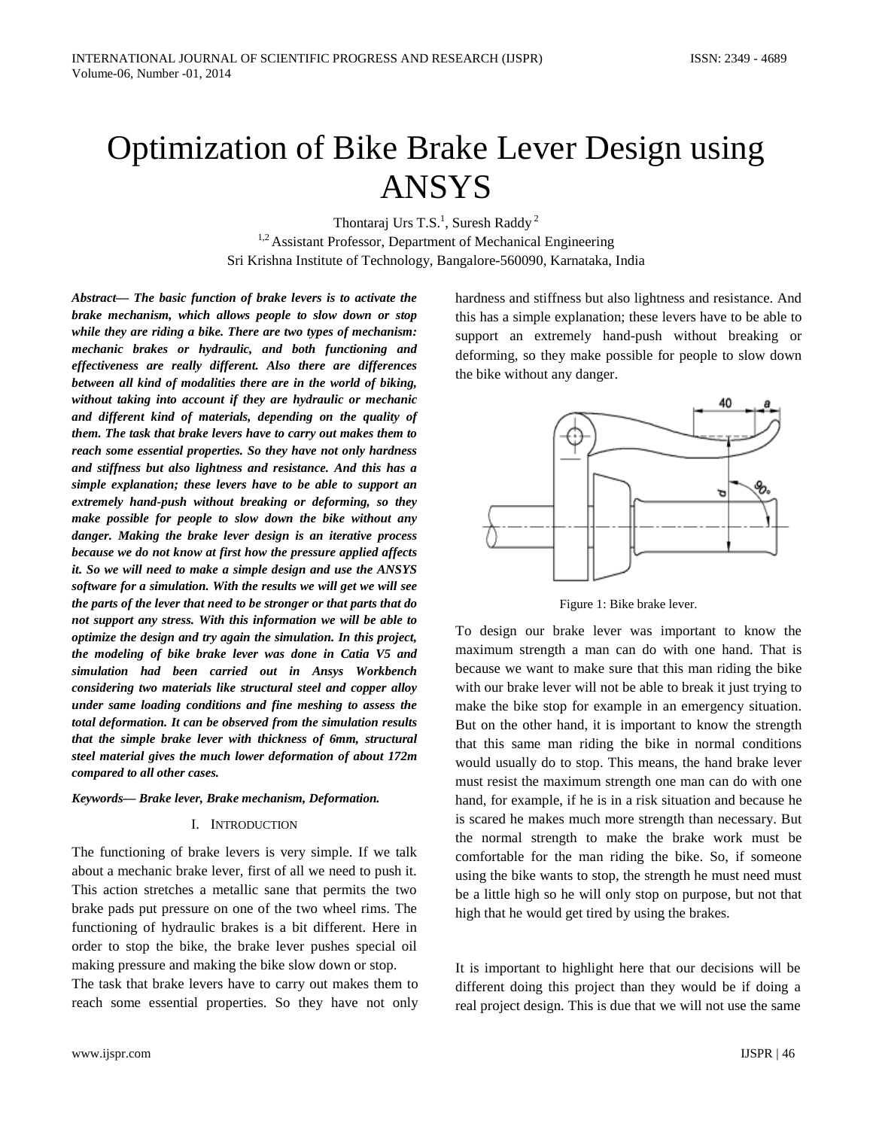# Optimization of Bike Brake Lever Design using ANSYS

Thontaraj Urs T.S.<sup>1</sup>, Suresh Raddy<sup>2</sup>

<sup>1,2</sup> Assistant Professor, Department of Mechanical Engineering Sri Krishna Institute of Technology, Bangalore-560090, Karnataka, India

*Abstract— The basic function of brake levers is to activate the brake mechanism, which allows people to slow down or stop while they are riding a bike. There are two types of mechanism: mechanic brakes or hydraulic, and both functioning and effectiveness are really different. Also there are differences between all kind of modalities there are in the world of biking, without taking into account if they are hydraulic or mechanic and different kind of materials, depending on the quality of them. The task that brake levers have to carry out makes them to reach some essential properties. So they have not only hardness and stiffness but also lightness and resistance. And this has a simple explanation; these levers have to be able to support an extremely hand-push without breaking or deforming, so they make possible for people to slow down the bike without any danger. Making the brake lever design is an iterative process because we do not know at first how the pressure applied affects it. So we will need to make a simple design and use the ANSYS software for a simulation. With the results we will get we will see the parts of the lever that need to be stronger or that parts that do not support any stress. With this information we will be able to optimize the design and try again the simulation. In this project, the modeling of bike brake lever was done in Catia V5 and simulation had been carried out in Ansys Workbench considering two materials like structural steel and copper alloy under same loading conditions and fine meshing to assess the total deformation. It can be observed from the simulation results that the simple brake lever with thickness of 6mm, structural steel material gives the much lower deformation of about 172m compared to all other cases.*

## *Keywords— Brake lever, Brake mechanism, Deformation.*

# I. INTRODUCTION

The functioning of brake levers is very simple. If we talk about a mechanic brake lever, first of all we need to push it. This action stretches a metallic sane that permits the two brake pads put pressure on one of the two wheel rims. The functioning of hydraulic brakes is a bit different. Here in order to stop the bike, the brake lever pushes special oil making pressure and making the bike slow down or stop. The task that brake levers have to carry out makes them to

reach some essential properties. So they have not only

hardness and stiffness but also lightness and resistance. And this has a simple explanation; these levers have to be able to support an extremely hand-push without breaking or deforming, so they make possible for people to slow down the bike without any danger.



Figure 1: Bike brake lever.

To design our brake lever was important to know the maximum strength a man can do with one hand. That is because we want to make sure that this man riding the bike with our brake lever will not be able to break it just trying to make the bike stop for example in an emergency situation. But on the other hand, it is important to know the strength that this same man riding the bike in normal conditions would usually do to stop. This means, the hand brake lever must resist the maximum strength one man can do with one hand, for example, if he is in a risk situation and because he is scared he makes much more strength than necessary. But the normal strength to make the brake work must be comfortable for the man riding the bike. So, if someone using the bike wants to stop, the strength he must need must be a little high so he will only stop on purpose, but not that high that he would get tired by using the brakes.

It is important to highlight here that our decisions will be different doing this project than they would be if doing a real project design. This is due that we will not use the same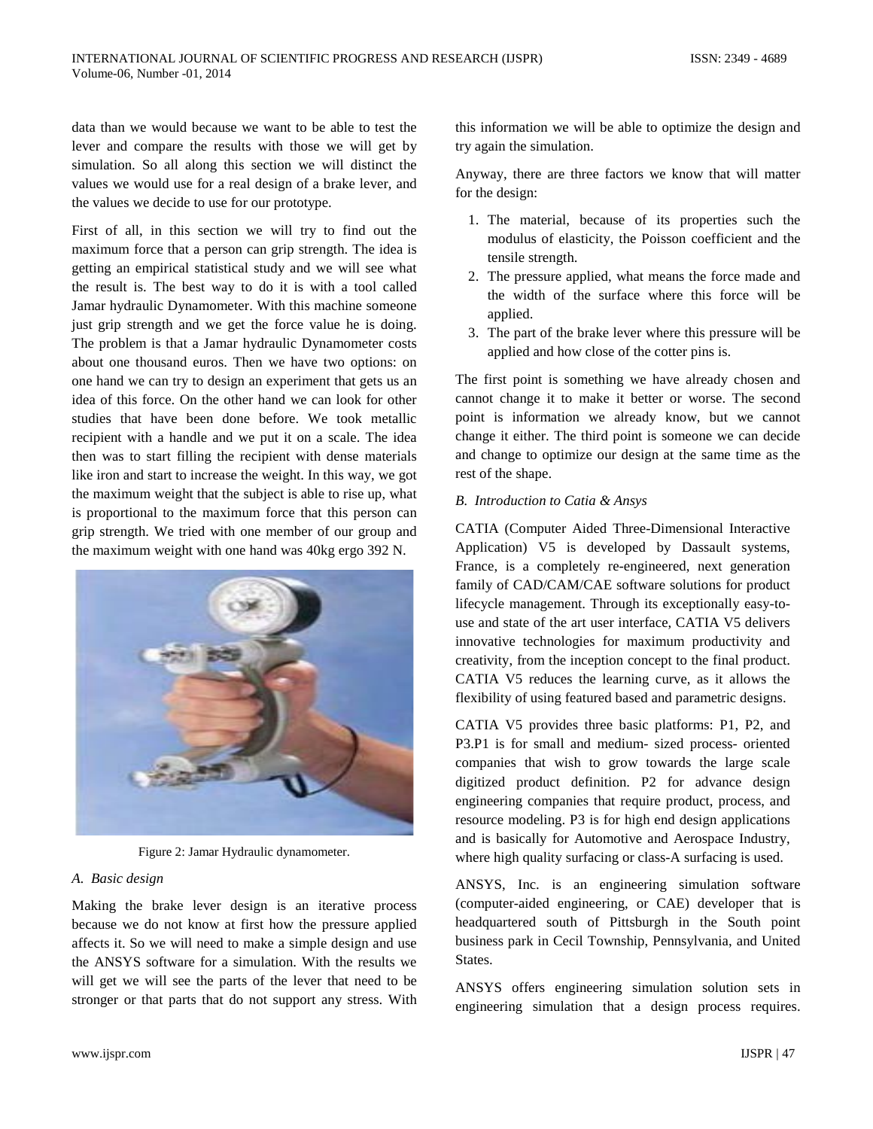data than we would because we want to be able to test the lever and compare the results with those we will get by simulation. So all along this section we will distinct the values we would use for a real design of a brake lever, and the values we decide to use for our prototype.

First of all, in this section we will try to find out the maximum force that a person can grip strength. The idea is getting an empirical statistical study and we will see what the result is. The best way to do it is with a tool called Jamar hydraulic Dynamometer. With this machine someone just grip strength and we get the force value he is doing. The problem is that a Jamar hydraulic Dynamometer costs about one thousand euros. Then we have two options: on one hand we can try to design an experiment that gets us an idea of this force. On the other hand we can look for other studies that have been done before. We took metallic recipient with a handle and we put it on a scale. The idea then was to start filling the recipient with dense materials like iron and start to increase the weight. In this way, we got the maximum weight that the subject is able to rise up, what is proportional to the maximum force that this person can grip strength. We tried with one member of our group and the maximum weight with one hand was 40kg ergo 392 N.



Figure 2: Jamar Hydraulic dynamometer.

# *A. Basic design*

Making the brake lever design is an iterative process because we do not know at first how the pressure applied affects it. So we will need to make a simple design and use the ANSYS software for a simulation. With the results we will get we will see the parts of the lever that need to be stronger or that parts that do not support any stress. With this information we will be able to optimize the design and try again the simulation.

Anyway, there are three factors we know that will matter for the design:

- 1. The material, because of its properties such the modulus of elasticity, the Poisson coefficient and the tensile strength.
- 2. The pressure applied, what means the force made and the width of the surface where this force will be applied.
- 3. The part of the brake lever where this pressure will be applied and how close of the cotter pins is.

The first point is something we have already chosen and cannot change it to make it better or worse. The second point is information we already know, but we cannot change it either. The third point is someone we can decide and change to optimize our design at the same time as the rest of the shape.

# *B. Introduction to Catia & Ansys*

CATIA (Computer Aided Three-Dimensional Interactive Application) V5 is developed by Dassault systems, France, is a completely re-engineered, next generation family of CAD/CAM/CAE software solutions for product lifecycle management. Through its exceptionally easy-touse and state of the art user interface, CATIA V5 delivers innovative technologies for maximum productivity and creativity, from the inception concept to the final product. CATIA V5 reduces the learning curve, as it allows the flexibility of using featured based and parametric designs.

CATIA V5 provides three basic platforms: P1, P2, and P3.P1 is for small and medium- sized process- oriented companies that wish to grow towards the large scale digitized product definition. P2 for advance design engineering companies that require product, process, and resource modeling. P3 is for high end design applications and is basically for Automotive and Aerospace Industry, where high quality surfacing or class-A surfacing is used.

ANSYS, Inc. is an engineering simulation software (computer-aided engineering, or CAE) developer that is headquartered south of Pittsburgh in the South point business park in Cecil Township, Pennsylvania, and United States.

ANSYS offers engineering simulation solution sets in engineering simulation that a design process requires.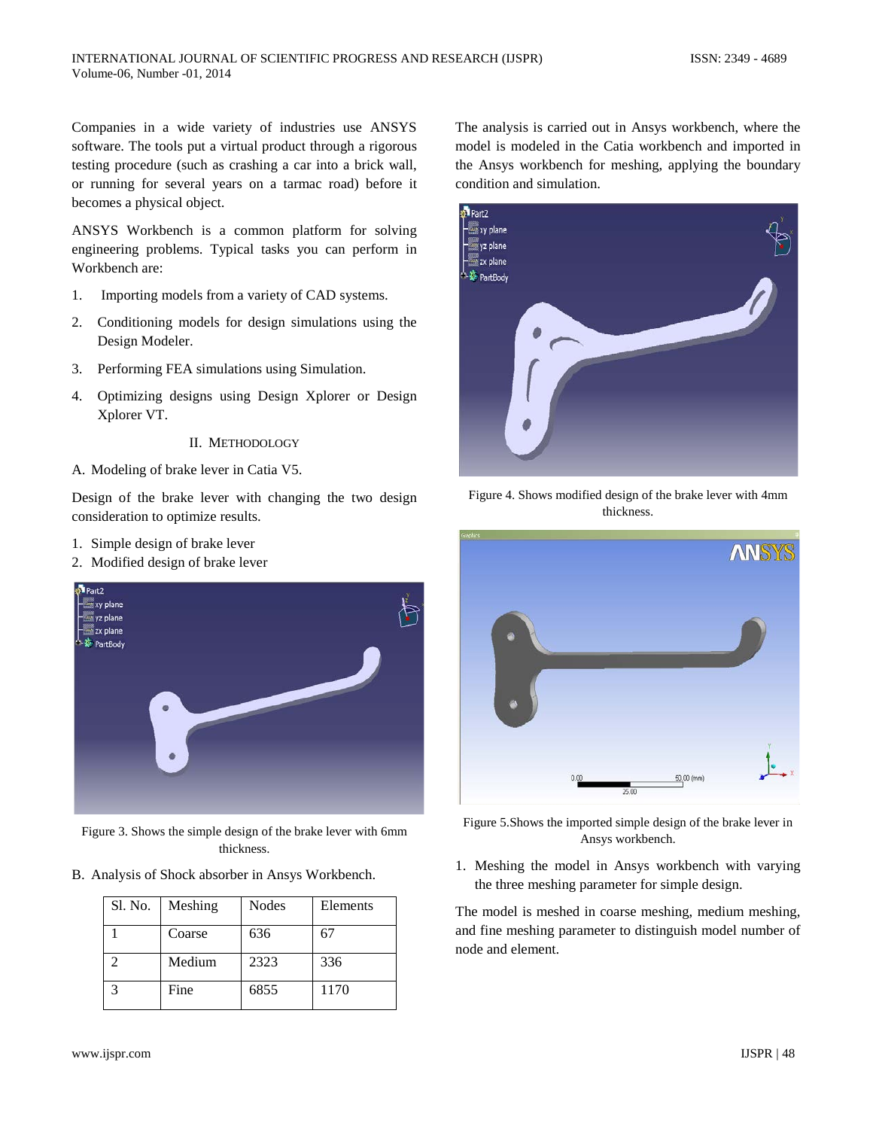Companies in a wide variety of industries use ANSYS software. The tools put a virtual product through a rigorous testing procedure (such as crashing a car into a brick wall, or running for several years on a tarmac road) before it becomes a physical object.

ANSYS Workbench is a common platform for solving engineering problems. Typical tasks you can perform in Workbench are:

- 1. Importing models from a variety of CAD systems.
- 2. Conditioning models for design simulations using the Design Modeler.
- 3. Performing FEA simulations using Simulation.
- 4. Optimizing designs using Design Xplorer or Design Xplorer VT.

## II. METHODOLOGY

A. Modeling of brake lever in Catia V5.

Design of the brake lever with changing the two design consideration to optimize results.

- 1. Simple design of brake lever
- 2. Modified design of brake lever



Figure 3. Shows the simple design of the brake lever with 6mm thickness.

B. Analysis of Shock absorber in Ansys Workbench.

| Sl. No. | Meshing | Nodes | Elements |
|---------|---------|-------|----------|
|         | Coarse  | 636   | 67       |
|         | Medium  | 2323  | 336      |
|         | Fine    | 6855  | 1170     |

The analysis is carried out in Ansys workbench, where the model is modeled in the Catia workbench and imported in the Ansys workbench for meshing, applying the boundary condition and simulation.



Figure 4. Shows modified design of the brake lever with 4mm thickness.



Figure 5.Shows the imported simple design of the brake lever in Ansys workbench.

1. Meshing the model in Ansys workbench with varying the three meshing parameter for simple design.

The model is meshed in coarse meshing, medium meshing, and fine meshing parameter to distinguish model number of node and element.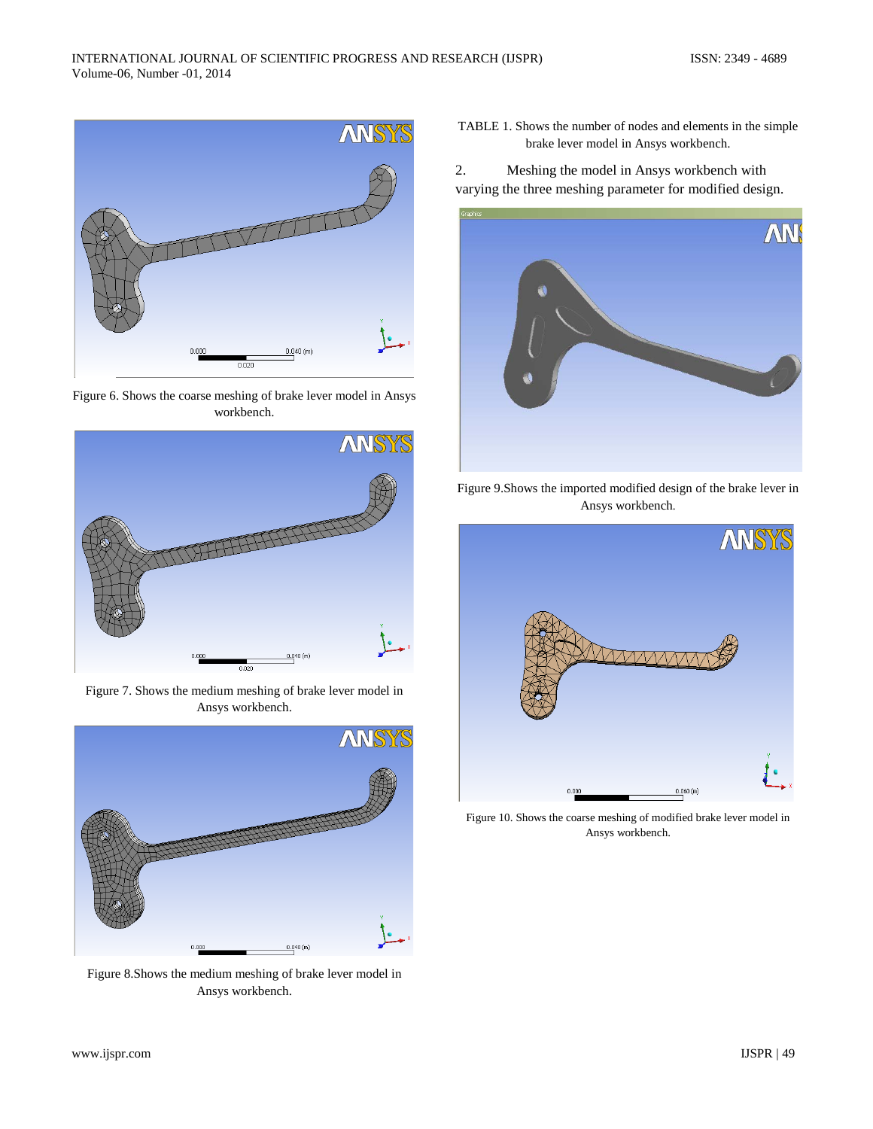

Figure 6. Shows the coarse meshing of brake lever model in Ansys workbench.



Figure 7. Shows the medium meshing of brake lever model in Ansys workbench.



Figure 8.Shows the medium meshing of brake lever model in Ansys workbench.

TABLE 1. Shows the number of nodes and elements in the simple brake lever model in Ansys workbench.

2. Meshing the model in Ansys workbench with varying the three meshing parameter for modified design.



Figure 9.Shows the imported modified design of the brake lever in Ansys workbench.



Figure 10. Shows the coarse meshing of modified brake lever model in Ansys workbench.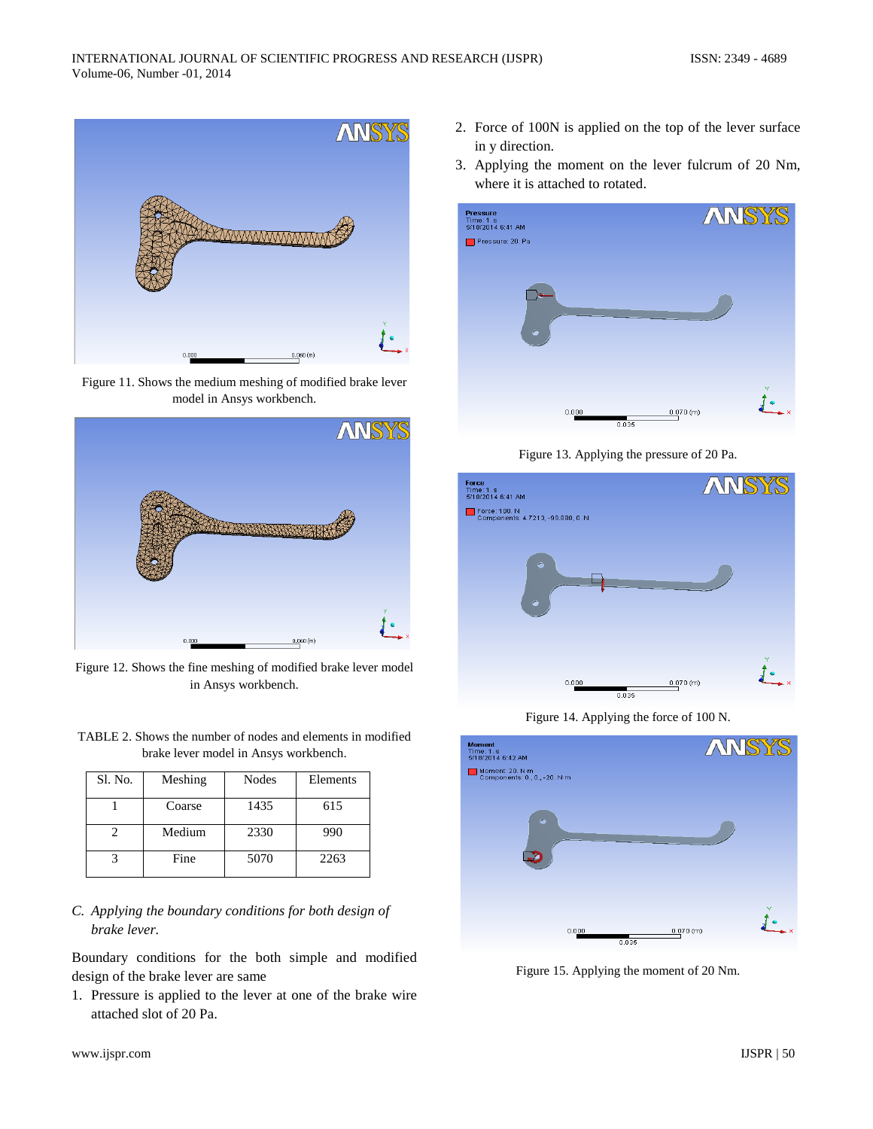

Figure 11. Shows the medium meshing of modified brake lever model in Ansys workbench.



Figure 12. Shows the fine meshing of modified brake lever model in Ansys workbench.

TABLE 2. Shows the number of nodes and elements in modified brake lever model in Ansys workbench.

| Sl. No. | Meshing | <b>Nodes</b> | Elements |
|---------|---------|--------------|----------|
|         | Coarse  | 1435         | 615      |
|         | Medium  | 2330         | 990      |
|         | Fine    | 5070         | 2263     |

*C. Applying the boundary conditions for both design of brake lever.*

Boundary conditions for the both simple and modified design of the brake lever are same

1. Pressure is applied to the lever at one of the brake wire attached slot of 20 Pa.

- 2. Force of 100N is applied on the top of the lever surface in y direction.
- 3. Applying the moment on the lever fulcrum of 20 Nm, where it is attached to rotated.



Figure 13. Applying the pressure of 20 Pa.



Figure 14. Applying the force of 100 N.



Figure 15. Applying the moment of 20 Nm.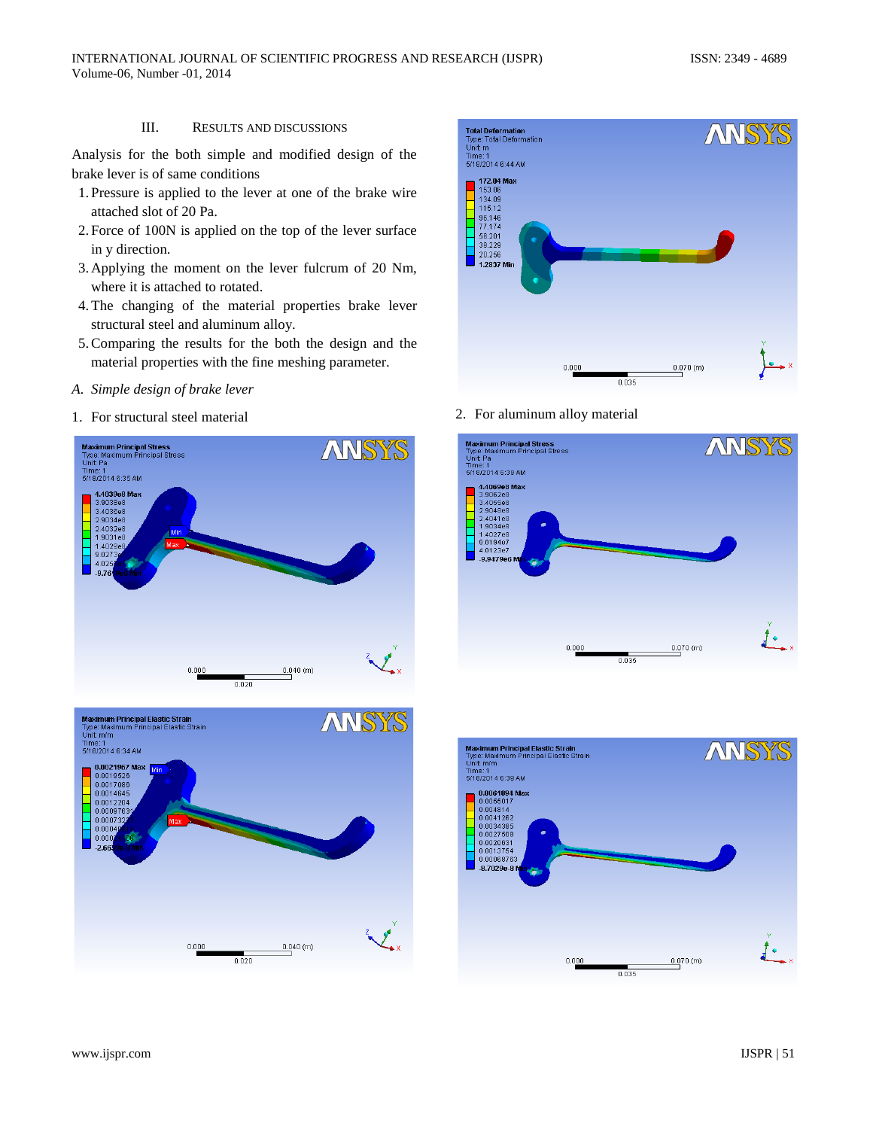# III. RESULTS AND DISCUSSIONS

Analysis for the both simple and modified design of the brake lever is of same conditions

- 1. Pressure is applied to the lever at one of the brake wire attached slot of 20 Pa.
- 2. Force of 100N is applied on the top of the lever surface in y direction.
- 3. Applying the moment on the lever fulcrum of 20 Nm, where it is attached to rotated.
- 4.The changing of the material properties brake lever structural steel and aluminum alloy.
- 5.Comparing the results for the both the design and the material properties with the fine meshing parameter.
- *A. Simple design of brake lever*
- 1. For structural steel material 2. For aluminum alloy material









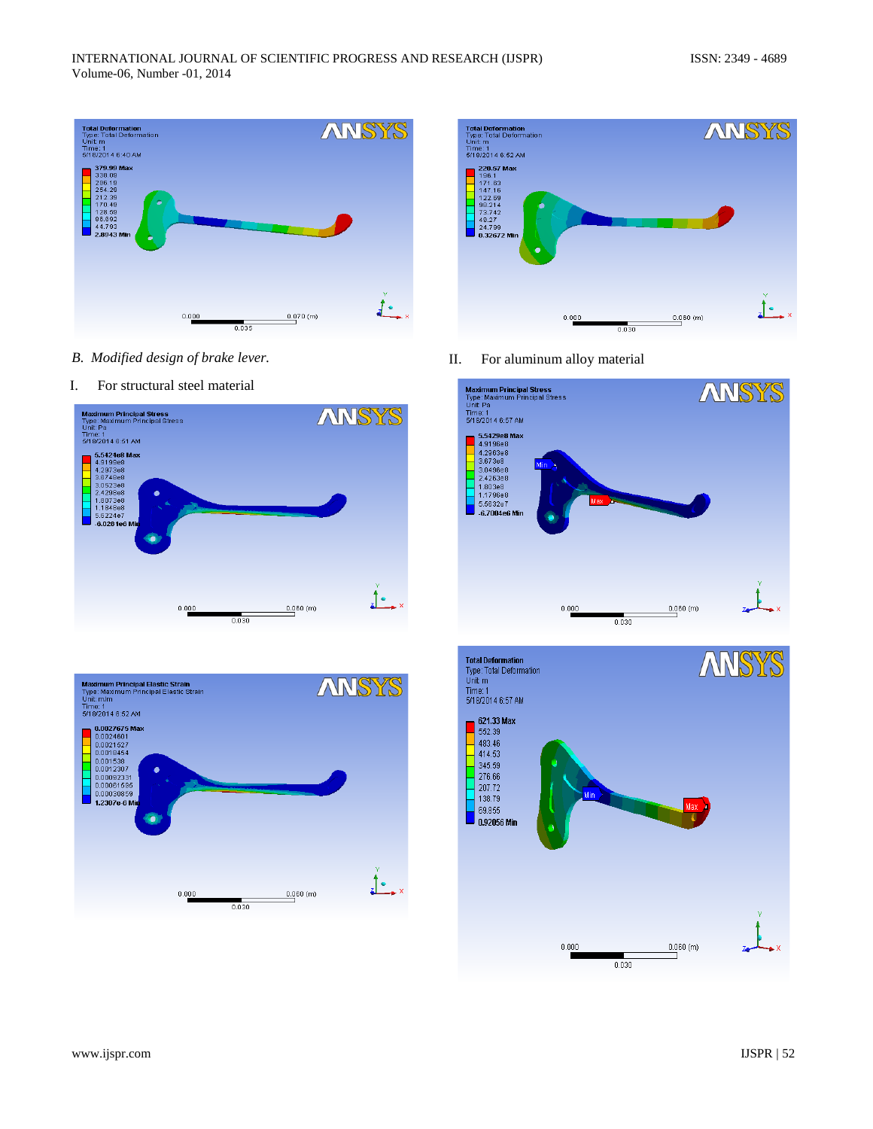

- *B. Modified design of brake lever.*
- I. For structural steel material







II. For aluminum alloy material



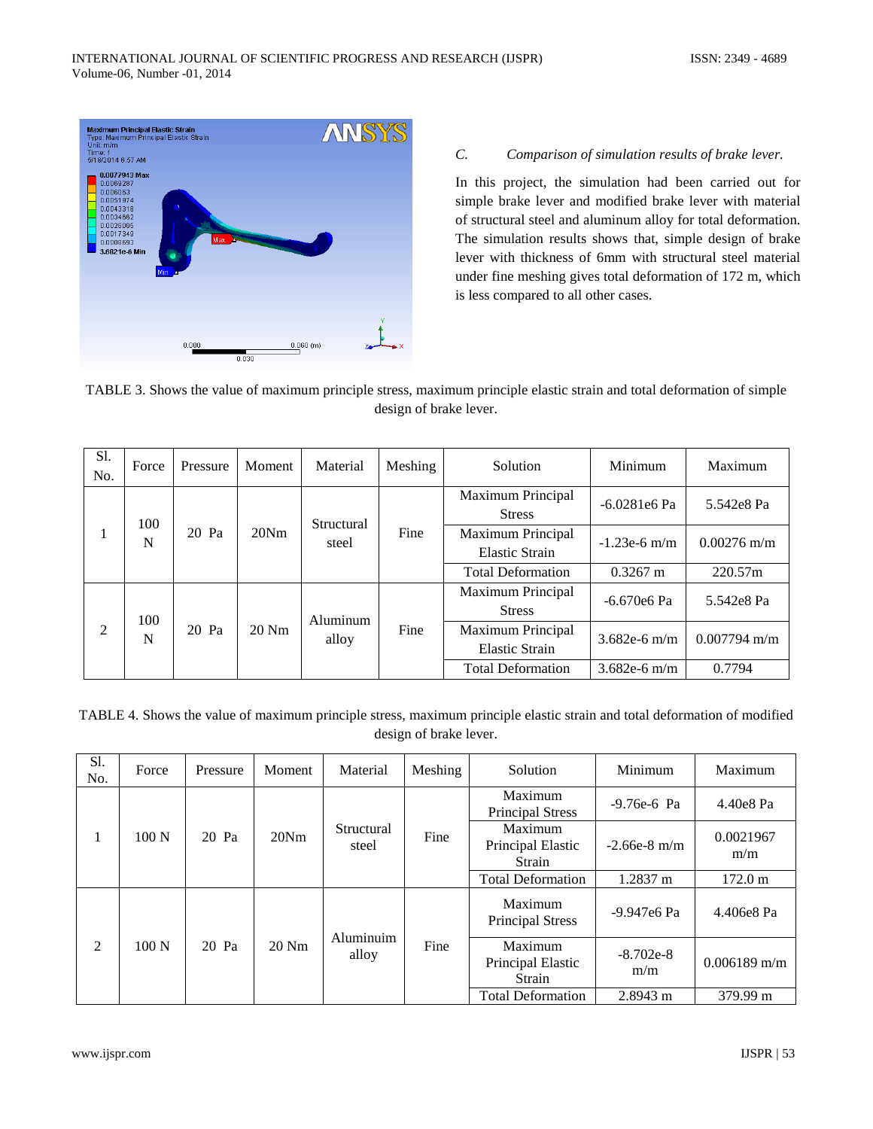

# *C. Comparison of simulation results of brake lever.*

In this project, the simulation had been carried out for simple brake lever and modified brake lever with material of structural steel and aluminum alloy for total deformation. The simulation results shows that, simple design of brake lever with thickness of 6mm with structural steel material under fine meshing gives total deformation of 172 m, which is less compared to all other cases.

| TABLE 3. Shows the value of maximum principle stress, maximum principle elastic strain and total deformation of simple |
|------------------------------------------------------------------------------------------------------------------------|
| design of brake lever.                                                                                                 |

| <b>S1.</b><br>No. | Force    | Pressure | Moment  | Material            | Meshing | Solution                                          | Minimum        | Maximum        |
|-------------------|----------|----------|---------|---------------------|---------|---------------------------------------------------|----------------|----------------|
| 1                 | 100<br>N | 20 Pa    | 20Nm    | Structural<br>steel | Fine    | Maximum Principal<br><b>Stress</b>                | $-6.0281e6$ Pa | 5.542e8 Pa     |
|                   |          |          |         |                     |         | <b>Maximum Principal</b><br><b>Elastic Strain</b> | $-1.23e-6$ m/m | $0.00276$ m/m  |
|                   |          |          |         |                     |         | <b>Total Deformation</b>                          | $0.3267$ m     | 220.57m        |
| 2                 | 100<br>N | 20 Pa    | $20$ Nm | Aluminum<br>alloy   | Fine    | Maximum Principal<br><b>Stress</b>                | $-6.670e6$ Pa  | 5.542e8 Pa     |
|                   |          |          |         |                     |         | Maximum Principal<br><b>Elastic Strain</b>        | $3.682e-6$ m/m | $0.007794$ m/m |
|                   |          |          |         |                     |         | <b>Total Deformation</b>                          | 3.682e-6 m/m   | 0.7794         |

TABLE 4. Shows the value of maximum principle stress, maximum principle elastic strain and total deformation of modified design of brake lever.

| S1.<br>No. | Force            | Pressure | Moment  | Material            | Meshing | Solution                               | Minimum            | Maximum           |
|------------|------------------|----------|---------|---------------------|---------|----------------------------------------|--------------------|-------------------|
|            | 100 <sub>N</sub> | 20 Pa    | 20Nm    | Structural<br>steel | Fine    | Maximum<br><b>Principal Stress</b>     | $-9.76e-6$ Pa      | 4.40e8 Pa         |
|            |                  |          |         |                     |         | Maximum<br>Principal Elastic<br>Strain | $-2.66e-8$ m/m     | 0.0021967<br>m/m  |
|            |                  |          |         |                     |         | <b>Total Deformation</b>               | 1.2837 m           | $172.0 \text{ m}$ |
| 2          | 100 <sub>N</sub> | 20 Pa    | $20$ Nm | Aluminuim<br>alloy  | Fine    | Maximum<br><b>Principal Stress</b>     | -9.947e6 Pa        | 4.406e8 Pa        |
|            |                  |          |         |                     |         | Maximum<br>Principal Elastic<br>Strain | $-8.702e-8$<br>m/m | $0.006189$ m/m    |
|            |                  |          |         |                     |         | <b>Total Deformation</b>               | 2.8943 m           | 379.99 m          |